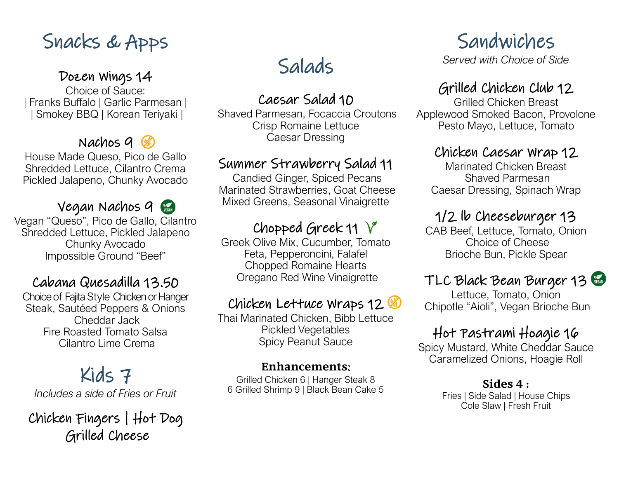# Snacks & Apps

#### Dozen Wings 14

Choice of Sauce: *|* Franks Buffalo | Garlic Parmesan | | Smokey BBQ | Korean Teriyaki |

### Nachos  $9\%$

House Made Queso, Pico de Gallo Shredded Lettuce, Cilantro Crema Pickled Jalapeno, Chunky Avocado

#### Vegan Nachos 9

Vegan "Queso", Pico de Gallo, Cilantro Shredded Lettuce, Pickled Jalapeno Chunky Avocado Impossible Ground "Beef"

### Cabana Quesadilla 13.50

Choice of Fajita Style Chicken or Hanger Steak, Sautéed Peppers & Onions Cheddar Jack Fire Roasted Tomato Salsa Cilantro Lime Crema

# Kids 7

*Includes a side of Fries or Fruit*

Chicken Fingers | Hot Dog Grilled Cheese

# Salads

Caesar Salad 10

Shaved Parmesan, Focaccia Croutons Crisp Romaine Lettuce Caesar Dressing

### Summer Strawberry Salad 11

Candied Ginger, Spiced Pecans Marinated Strawberries, Goat Cheese Mixed Greens, Seasonal Vinaigrette

# Chopped Greek 11  $\sqrt{\ }$

Greek Olive Mix, Cucumber, Tomato Feta, Pepperoncini, Falafel Chopped Romaine Hearts Oregano Red Wine Vinaigrette

### Chicken Lettuce Wraps 12

Thai Marinated Chicken, Bibb Lettuce Pickled Vegetables Spicy Peanut Sauce

#### **Enhancements**:

Grilled Chicken 6 | Hanger Steak 8 6 Grilled Shrimp 9 | Black Bean Cake 5

# Sandwiches

*Served with Choice of Side*

## Grilled Chicken Club 12

Grilled Chicken Breast Applewood Smoked Bacon, Provolone Pesto Mayo, Lettuce, Tomato

### Chicken Caesar Wrap 12

Marinated Chicken Breast Shaved Parmesan Caesar Dressing, Spinach Wrap

# 1/2 lb Cheeseburger 13

CAB Beef, Lettuce, Tomato, Onion Choice of Cheese Brioche Bun, Pickle Spear

# TLC Black Bean Burger 13

Lettuce, Tomato, Onion Chipotle "Aioli", Vegan Brioche Bun

# Hot Pastrami Hoagie 16

Spicy Mustard, White Cheddar Sauce Caramelized Onions, Hoagie Roll

#### **Sides 4 :**

Fries | Side Salad | House Chips Cole Slaw | Fresh Fruit